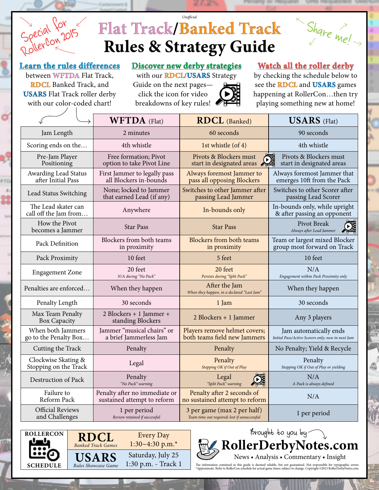# **Flat Track/Banked Track Rules & Strategy Guide** *Unofficial*



#### **Learn the rules differences**

Special for

between **WFTDA** Flat Track, **RDCL** Banked Track, and **USARS** Flat Track roller derby with our color-coded chart!

**Discover new derby strategies**

with our **RDCL**/**USARS** Strategy Guide on the next pages click the icon for video breakdowns of key rules!



#### **Watch all the roller derby**

by checking the schedule below to see the **RDCL** and **USARS** games happening at RollerCon…then try playing something new at home!

|                                              | <b>WFTDA</b> (Flat)                                          | <b>RDCL</b> (Banked)                                                        | <b>USARS</b> (Flat)                                                         |
|----------------------------------------------|--------------------------------------------------------------|-----------------------------------------------------------------------------|-----------------------------------------------------------------------------|
| Jam Length                                   | 2 minutes                                                    | 60 seconds                                                                  | 90 seconds                                                                  |
| Scoring ends on the                          | 4th whistle                                                  | 1st whistle (of 4)                                                          | 4th whistle                                                                 |
| Pre-Jam Player<br>Positioning                | Free formation; Pivot<br>option to take Pivot Line           | Pivots & Blockers must<br>start in designated areas                         | Pivots & Blockers must<br>start in designated areas                         |
| Awarding Lead Status<br>after Initial Pass   | First Jammer to legally pass<br>all Blockers in-bounds       | Always foremost Jammer to<br>pass all opposing Blockers                     | Always foremost Jammer that<br>emerges 10ft from the Pack                   |
| Lead Status Switching                        | None; locked to Jammer<br>that earned Lead (if any)          | Switches to other Jammer after<br>passing Lead Jammer                       | Switches to other Scorer after<br>passing Lead Scorer                       |
| The Lead skater can<br>call off the Jam from | Anywhere                                                     | In-bounds only                                                              | In-bounds only, while upright<br>& after passing an opponent                |
| How the Pivot<br>becomes a Jammer            | <b>Star Pass</b>                                             | <b>Star Pass</b>                                                            | Pivot Break<br>Always after Lead Jammer                                     |
| Pack Definition                              | Blockers from both teams<br>in proximity                     | Blockers from both teams<br>in proximity                                    | Team or largest mixed Blocker<br>group most forward on Track                |
| Pack Proximity                               | 10 feet                                                      | 5 feet                                                                      | 10 feet                                                                     |
| <b>Engagement Zone</b>                       | 20 feet<br>N/A during "No Pack"                              | 20 feet<br>Persists during "Split Pack"                                     | N/A<br>Engagement within Pack Proximity only                                |
| Penalties are enforced                       | When they happen                                             | After the Jam<br>When they happen, in a declared "Last Jam"                 | When they happen                                                            |
| Penalty Length                               | 30 seconds                                                   | 1 Jam                                                                       | 30 seconds                                                                  |
| Max Team Penalty<br><b>Box Capacity</b>      | 2 Blockers + 1 Jammer +<br>standing Blockers                 | 2 Blockers + 1 Jammer                                                       | Any 3 players                                                               |
| When both Jammers<br>go to the Penalty Box   | Jammer "musical chairs" or<br>a brief Jammerless Jam         | Players remove helmet covers;<br>both teams field new Jammers               | Jam automatically ends<br>Initial Pass/Active Scorers only; new in next Jam |
| Cutting the Track                            | Penalty                                                      | Penalty                                                                     | No Penalty; Yield & Recycle                                                 |
| Clockwise Skating &<br>Stopping on the Track | Legal                                                        | Penalty<br>Stopping OK if Out of Play                                       | Penalty<br>Stopping OK if Out of Play or yielding                           |
| Destruction of Pack                          | Penalty<br>"No Pack" warning                                 | Legal<br>"Split Pack" warning                                               | N/A<br>A Pack is always defined                                             |
| Failure to<br>Reform Pack                    | Penalty after no immediate or<br>sustained attempt to reform | Penalty after 2 seconds of<br>no sustained attempt to reform                | N/A                                                                         |
| <b>Official Reviews</b><br>and Challenges    | 1 per period<br>Review retained if successful                | 3 per game (max 2 per half)<br>Team time out required; lost if unsuccessful | 1 per period                                                                |



Brought to you by **[RollerDerbyNotes.com](http://www.rollerderbynotes.com/)** News • Analysis • Commentary • Insight

The information contained in this guide is deemed reliable, but not guaranteed. Not responsible for typographic errors.<br>\*Approximate.Refer to RollerCon schedule for actual game times; subject to change.Copyright ©2015 Roll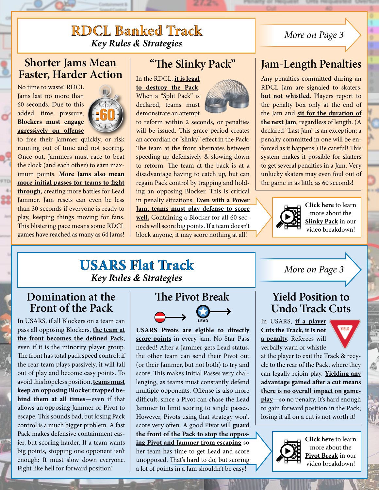### **RDCL Banked Track** *Key Rules & Strategies*

#### **Shorter Jams Mean Faster, Harder Action**

No time to waste! RDCL Jams last no more than 60 seconds. Due to this added time pressure, **Blockers must engage agressively on offense**

á



to free their Jammer quickly, or risk running out of time and not scoring. Once out, Jammers must race to beat the clock (and each other) to earn maximum points. **More Jams also mean more initial passes for teams to fight through**, creating more battles for Lead Jammer. Jam resets can even be less than 30 seconds if everyone is ready to play, keeping things moving for fans. This blistering pace means some RDCL games have reached as many as 64 Jams!

#### **"The Slinky Pack"**

In the RDCL, **it is legal to destroy the Pack**. When a "Split Pack" is declared, teams must

demonstrate an attempt



to reform within 2 seconds, or penalties will be issued. This grace period creates an accordian or "slinky" effect in the Pack: The team at the front alternates between speeding up defensively & slowing down to reform. The team at the back is at a disadvantage having to catch up, but can regain Pack control by trapping and holding an opposing Blocker. This is critical in penalty situations. **Even with a Power Jam, teams must play defense to score well.** Containing a Blocker for all 60 seconds will score big points. If a team doesn't block anyone, it may score nothing at all!

#### *More on Page 3*

### **Jam-Length Penalties**

Any penalties committed during an RDCL Jam are signaled to skaters, **but not whistled**. Players report to the penalty box only at the end of the Jam and **sit for the duration of the next Jam**, regardless of length. (A declared "Last Jam" is an exception; a penalty committed in one will be enforced as it happens.) Be careful! This system makes it possible for skaters to get several penalties in a Jam. Very unlucky skaters may even foul out of the game in as little as 60 seconds!



**Click here** to learn more about the **Slinky Pack** in our [video breakdown!](http://rdn.link/rdcl-slinkypack)

#### **USARS Flat Track** *Key Rules & Strategies*

#### **Domination at the Front of the Pack**

In USARS, if all Blockers on a team can pass all opposing Blockers, **the team at the front becomes the defined Pack**, even if it is the minority player group. The front has total pack speed control; if the rear team plays passively, it will fall out of play and become easy points. To avoid this hopeless position, **teams must keep an opposing Blocker trapped behind them at all times**—even if that allows an opposing Jammer or Pivot to escape. This sounds bad, but losing Pack control is a much bigger problem. A fast Pack makes defensive containment easier, but scoring harder. If a team wants big points, stopping one opponent isn't enough: It must slow down everyone. Fight like hell for forward position!



**USARS Pivots are elgible to directly score points** in every jam. No Star Pass needed! After a Jammer gets Lead status, the other team can send their Pivot out (or their Jammer, but not both) to try and score. This makes Initial Passes very challenging, as teams must constantly defend multiple opponents. Offense is also more difficult, since a Pivot can chase the Lead Jammer to limit scoring to single passes. However, Pivots using that strategy won't score very often. A good Pivot will **guard the front of the Pack to stop the opposing Pivot and Jammer from escaping** so her team has time to get Lead and score unopposed. That's hard to do, but scoring a lot of points in a Jam shouldn't be easy! **LEAD**

#### *More on Page 3*

#### **Yield Position to Undo Track Cuts**

In USARS, **if a player Cuts the Track, it is not a penalty.** Referees will verbally warn or whistle



at the player to exit the Track & recycle to the rear of the Pack, where they can legally rejoin play. **Yielding any advantage gained after a cut means there is no overall impact on gameplay**—so no penalty. It's hard enough to gain forward position in the Pack; losing it all on a cut is not worth it!



**Click here** to learn more about the **Pivot Break** in our [video breakdown!](http://rdn.link/usars-pivotbreak)